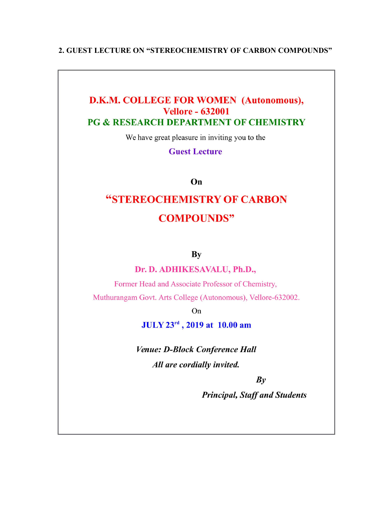## 2. GUEST LECTURE ON "STEREOCHEMISTRY OF CARBON COMPOUNDS"

## **D.K.M. COLLEGE FOR WOMEN (Autonomous), Vellore - 632001 PG & RESEARCH DEPARTMENT OF CHEMISTRY**

We have great pleasure in inviting you to the

**Guest Lecture** 

On

## "STEREOCHEMISTRY OF CARBON **COMPOUNDS"**

**By** 

Dr. D. ADHIKESAVALU, Ph.D.,

Former Head and Associate Professor of Chemistry, Muthurangam Govt. Arts College (Autonomous), Vellore-632002.

On

JULY 23rd, 2019 at 10.00 am

Venue: D-Block Conference Hall All are cordially invited.

 $By$ 

**Principal, Staff and Students**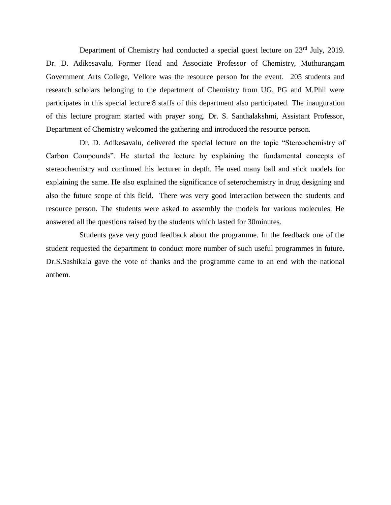Department of Chemistry had conducted a special guest lecture on 23<sup>rd</sup> July, 2019. Dr. D. Adikesavalu, Former Head and Associate Professor of Chemistry, Muthurangam Government Arts College, Vellore was the resource person for the event. 205 students and research scholars belonging to the department of Chemistry from UG, PG and M.Phil were participates in this special lecture.8 staffs of this department also participated. The inauguration of this lecture program started with prayer song. Dr. S. Santhalakshmi, Assistant Professor, Department of Chemistry welcomed the gathering and introduced the resource person.

Dr. D. Adikesavalu, delivered the special lecture on the topic "Stereochemistry of Carbon Compounds". He started the lecture by explaining the fundamental concepts of stereochemistry and continued his lecturer in depth. He used many ball and stick models for explaining the same. He also explained the significance of seterochemistry in drug designing and also the future scope of this field. There was very good interaction between the students and resource person. The students were asked to assembly the models for various molecules. He answered all the questions raised by the students which lasted for 30minutes.

Students gave very good feedback about the programme. In the feedback one of the student requested the department to conduct more number of such useful programmes in future. Dr.S.Sashikala gave the vote of thanks and the programme came to an end with the national anthem.